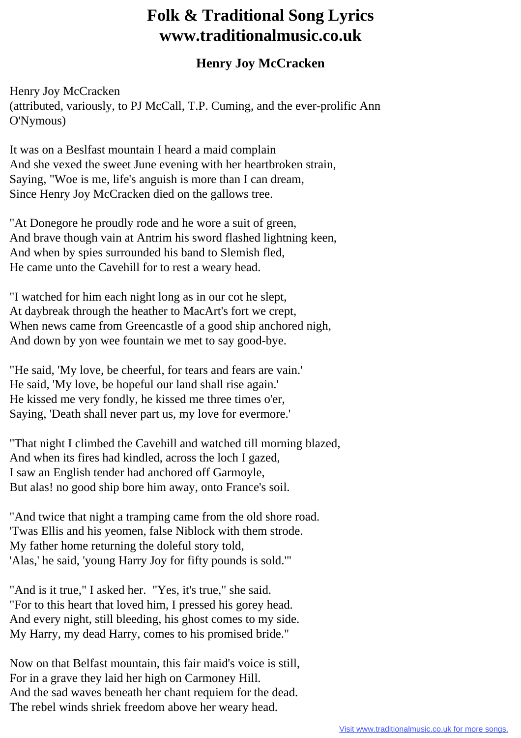## **Folk & Traditional Song Lyrics www.traditionalmusic.co.uk**

## **Henry Joy McCracken**

Henry Joy McCracken (attributed, variously, to PJ McCall, T.P. Cuming, and the ever-prolific Ann O'Nymous)

It was on a Beslfast mountain I heard a maid complain And she vexed the sweet June evening with her heartbroken strain, Saying, "Woe is me, life's anguish is more than I can dream, Since Henry Joy McCracken died on the gallows tree.

"At Donegore he proudly rode and he wore a suit of green, And brave though vain at Antrim his sword flashed lightning keen, And when by spies surrounded his band to Slemish fled, He came unto the Cavehill for to rest a weary head.

"I watched for him each night long as in our cot he slept, At daybreak through the heather to MacArt's fort we crept, When news came from Greencastle of a good ship anchored nigh, And down by yon wee fountain we met to say good-bye.

"He said, 'My love, be cheerful, for tears and fears are vain.' He said, 'My love, be hopeful our land shall rise again.' He kissed me very fondly, he kissed me three times o'er, Saying, 'Death shall never part us, my love for evermore.'

"That night I climbed the Cavehill and watched till morning blazed, And when its fires had kindled, across the loch I gazed, I saw an English tender had anchored off Garmoyle, But alas! no good ship bore him away, onto France's soil.

"And twice that night a tramping came from the old shore road. 'Twas Ellis and his yeomen, false Niblock with them strode. My father home returning the doleful story told, 'Alas,' he said, 'young Harry Joy for fifty pounds is sold.'"

"And is it true," I asked her. "Yes, it's true," she said. "For to this heart that loved him, I pressed his gorey head. And every night, still bleeding, his ghost comes to my side. My Harry, my dead Harry, comes to his promised bride."

Now on that Belfast mountain, this fair maid's voice is still, For in a grave they laid her high on Carmoney Hill. And the sad waves beneath her chant requiem for the dead. The rebel winds shriek freedom above her weary head.